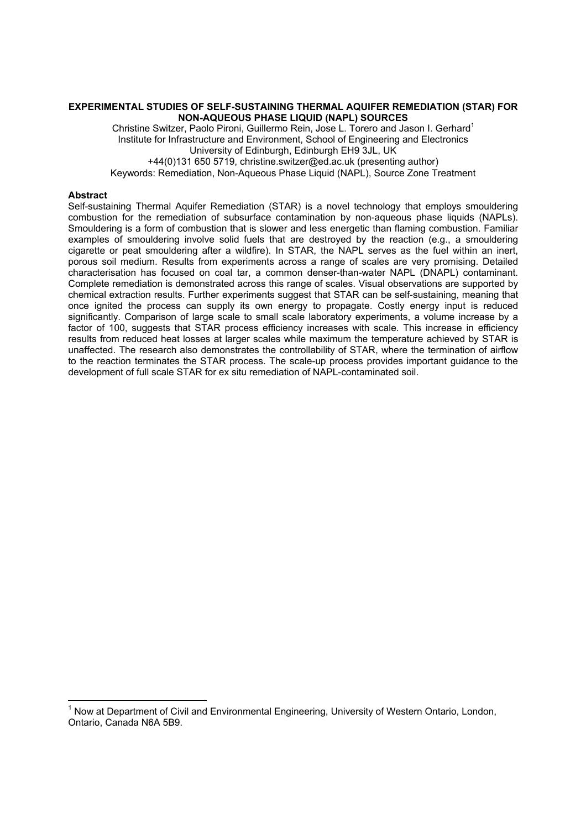# **EXPERIMENTAL STUDIES OF SELF-SUSTAINING THERMAL AQUIFER REMEDIATION (STAR) FOR NON-AQUEOUS PHASE LIQUID (NAPL) SOURCES**

Christine Switzer, Paolo Pironi, Guillermo Rein, Jose L. Torero and Jason I. Gerhard<sup>1</sup> Institute for Infrastructure and Environment, School of Engineering and Electronics University of Edinburgh, Edinburgh EH9 3JL, UK +44(0)131 650 5719, christine.switzer@ed.ac.uk (presenting author)

Keywords: Remediation, Non-Aqueous Phase Liquid (NAPL), Source Zone Treatment

# **Abstract**

Self-sustaining Thermal Aquifer Remediation (STAR) is a novel technology that employs smouldering combustion for the remediation of subsurface contamination by non-aqueous phase liquids (NAPLs). Smouldering is a form of combustion that is slower and less energetic than flaming combustion. Familiar examples of smouldering involve solid fuels that are destroyed by the reaction (e.g., a smouldering cigarette or peat smouldering after a wildfire). In STAR, the NAPL serves as the fuel within an inert, porous soil medium. Results from experiments across a range of scales are very promising. Detailed characterisation has focused on coal tar, a common denser-than-water NAPL (DNAPL) contaminant. Complete remediation is demonstrated across this range of scales. Visual observations are supported by chemical extraction results. Further experiments suggest that STAR can be self-sustaining, meaning that once ignited the process can supply its own energy to propagate. Costly energy input is reduced significantly. Comparison of large scale to small scale laboratory experiments, a volume increase by a factor of 100, suggests that STAR process efficiency increases with scale. This increase in efficiency results from reduced heat losses at larger scales while maximum the temperature achieved by STAR is unaffected. The research also demonstrates the controllability of STAR, where the termination of airflow to the reaction terminates the STAR process. The scale-up process provides important guidance to the development of full scale STAR for ex situ remediation of NAPL-contaminated soil.

TERENTIELED TRIENT CONDET THE TERRET CONDUCT THE TERRET TRIENT THOM ON THE TRIENT THOM THOM THOM THOM THOM TH<br>Thow at Department of Civil and Environmental Engineering, University of Western Ontario, London, Ontario, Canada N6A 5B9.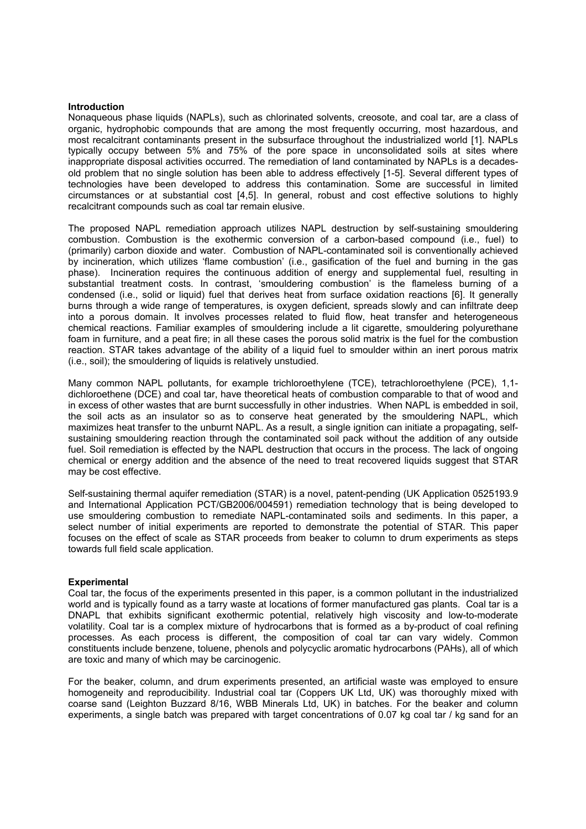## **Introduction**

Nonaqueous phase liquids (NAPLs), such as chlorinated solvents, creosote, and coal tar, are a class of organic, hydrophobic compounds that are among the most frequently occurring, most hazardous, and most recalcitrant contaminants present in the subsurface throughout the industrialized world [1]. NAPLs typically occupy between 5% and 75% of the pore space in unconsolidated soils at sites where inappropriate disposal activities occurred. The remediation of land contaminated by NAPLs is a decadesold problem that no single solution has been able to address effectively [1-5]. Several different types of technologies have been developed to address this contamination. Some are successful in limited circumstances or at substantial cost [4,5]. In general, robust and cost effective solutions to highly recalcitrant compounds such as coal tar remain elusive.

The proposed NAPL remediation approach utilizes NAPL destruction by self-sustaining smouldering combustion. Combustion is the exothermic conversion of a carbon-based compound (i.e., fuel) to (primarily) carbon dioxide and water. Combustion of NAPL-contaminated soil is conventionally achieved by incineration, which utilizes 'flame combustion' (i.e., gasification of the fuel and burning in the gas phase). Incineration requires the continuous addition of energy and supplemental fuel, resulting in substantial treatment costs. In contrast, 'smouldering combustion' is the flameless burning of a condensed (i.e., solid or liquid) fuel that derives heat from surface oxidation reactions [6]. It generally burns through a wide range of temperatures, is oxygen deficient, spreads slowly and can infiltrate deep into a porous domain. It involves processes related to fluid flow, heat transfer and heterogeneous chemical reactions. Familiar examples of smouldering include a lit cigarette, smouldering polyurethane foam in furniture, and a peat fire; in all these cases the porous solid matrix is the fuel for the combustion reaction. STAR takes advantage of the ability of a liquid fuel to smoulder within an inert porous matrix (i.e., soil); the smouldering of liquids is relatively unstudied.

Many common NAPL pollutants, for example trichloroethylene (TCE), tetrachloroethylene (PCE), 1,1 dichloroethene (DCE) and coal tar, have theoretical heats of combustion comparable to that of wood and in excess of other wastes that are burnt successfully in other industries. When NAPL is embedded in soil, the soil acts as an insulator so as to conserve heat generated by the smouldering NAPL, which maximizes heat transfer to the unburnt NAPL. As a result, a single ignition can initiate a propagating, selfsustaining smouldering reaction through the contaminated soil pack without the addition of any outside fuel. Soil remediation is effected by the NAPL destruction that occurs in the process. The lack of ongoing chemical or energy addition and the absence of the need to treat recovered liquids suggest that STAR may be cost effective.

Self-sustaining thermal aquifer remediation (STAR) is a novel, patent-pending (UK Application 0525193.9 and International Application PCT/GB2006/004591) remediation technology that is being developed to use smouldering combustion to remediate NAPL-contaminated soils and sediments. In this paper, a select number of initial experiments are reported to demonstrate the potential of STAR. This paper focuses on the effect of scale as STAR proceeds from beaker to column to drum experiments as steps towards full field scale application.

#### **Experimental**

Coal tar, the focus of the experiments presented in this paper, is a common pollutant in the industrialized world and is typically found as a tarry waste at locations of former manufactured gas plants. Coal tar is a DNAPL that exhibits significant exothermic potential, relatively high viscosity and low-to-moderate volatility. Coal tar is a complex mixture of hydrocarbons that is formed as a by-product of coal refining processes. As each process is different, the composition of coal tar can vary widely. Common constituents include benzene, toluene, phenols and polycyclic aromatic hydrocarbons (PAHs), all of which are toxic and many of which may be carcinogenic.

For the beaker, column, and drum experiments presented, an artificial waste was employed to ensure homogeneity and reproducibility. Industrial coal tar (Coppers UK Ltd, UK) was thoroughly mixed with coarse sand (Leighton Buzzard 8/16, WBB Minerals Ltd, UK) in batches. For the beaker and column experiments, a single batch was prepared with target concentrations of 0.07 kg coal tar / kg sand for an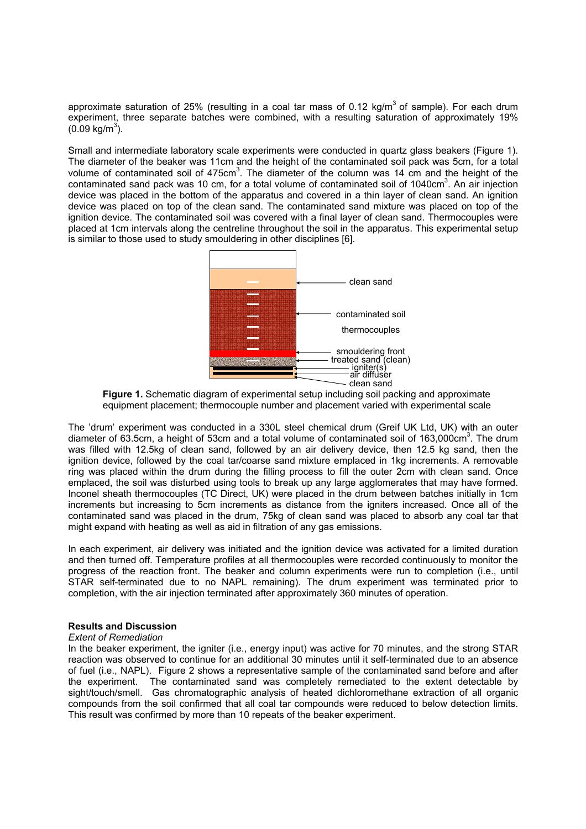approximate saturation of 25% (resulting in a coal tar mass of 0.12 kg/m<sup>3</sup> of sample). For each drum experiment, three separate batches were combined, with a resulting saturation of approximately 19%  $(0.09 \text{ kg/m}^3)$ .

Small and intermediate laboratory scale experiments were conducted in quartz glass beakers (Figure 1). The diameter of the beaker was 11cm and the height of the contaminated soil pack was 5cm, for a total volume of contaminated soil of 475 $cm<sup>3</sup>$ . The diameter of the column was 14 cm and the height of the contaminated sand pack was 10 cm, for a total volume of contaminated soil of 1040cm<sup>3</sup>. An air injection device was placed in the bottom of the apparatus and covered in a thin layer of clean sand. An ignition device was placed on top of the clean sand. The contaminated sand mixture was placed on top of the ignition device. The contaminated soil was covered with a final layer of clean sand. Thermocouples were placed at 1cm intervals along the centreline throughout the soil in the apparatus. This experimental setup is similar to those used to study smouldering in other disciplines [6].



**Figure 1.** Schematic diagram of experimental setup including soil packing and approximate equipment placement; thermocouple number and placement varied with experimental scale

The ídrumí experiment was conducted in a 330L steel chemical drum (Greif UK Ltd, UK) with an outer diameter of 63.5cm, a height of 53cm and a total volume of contaminated soil of 163,000cm<sup>3</sup>. The drum was filled with 12.5kg of clean sand, followed by an air delivery device, then 12.5 kg sand, then the ignition device, followed by the coal tar/coarse sand mixture emplaced in 1kg increments. A removable ring was placed within the drum during the filling process to fill the outer 2cm with clean sand. Once emplaced, the soil was disturbed using tools to break up any large agglomerates that may have formed. Inconel sheath thermocouples (TC Direct, UK) were placed in the drum between batches initially in 1cm increments but increasing to 5cm increments as distance from the igniters increased. Once all of the contaminated sand was placed in the drum, 75kg of clean sand was placed to absorb any coal tar that might expand with heating as well as aid in filtration of any gas emissions.

In each experiment, air delivery was initiated and the ignition device was activated for a limited duration and then turned off. Temperature profiles at all thermocouples were recorded continuously to monitor the progress of the reaction front. The beaker and column experiments were run to completion (i.e., until STAR self-terminated due to no NAPL remaining). The drum experiment was terminated prior to completion, with the air injection terminated after approximately 360 minutes of operation.

# **Results and Discussion**

# *Extent of Remediation*

In the beaker experiment, the igniter (i.e., energy input) was active for 70 minutes, and the strong STAR reaction was observed to continue for an additional 30 minutes until it self-terminated due to an absence of fuel (i.e., NAPL). Figure 2 shows a representative sample of the contaminated sand before and after the experiment. The contaminated sand was completely remediated to the extent detectable by sight/touch/smell. Gas chromatographic analysis of heated dichloromethane extraction of all organic compounds from the soil confirmed that all coal tar compounds were reduced to below detection limits. This result was confirmed by more than 10 repeats of the beaker experiment.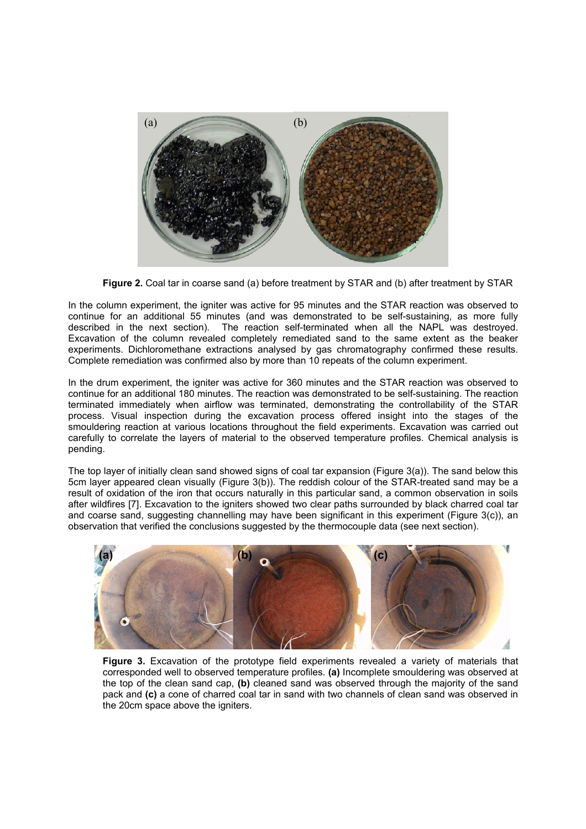

**Figure 2.** Coal tar in coarse sand (a) before treatment by STAR and (b) after treatment by STAR

In the column experiment, the igniter was active for 95 minutes and the STAR reaction was observed to continue for an additional 55 minutes (and was demonstrated to be self-sustaining, as more fully described in the next section). The reaction self-terminated when all the NAPL was destroyed. Excavation of the column revealed completely remediated sand to the same extent as the beaker experiments. Dichloromethane extractions analysed by gas chromatography confirmed these results. Complete remediation was confirmed also by more than 10 repeats of the column experiment.

In the drum experiment, the igniter was active for 360 minutes and the STAR reaction was observed to continue for an additional 180 minutes. The reaction was demonstrated to be self-sustaining. The reaction terminated immediately when airflow was terminated, demonstrating the controllability of the STAR process. Visual inspection during the excavation process offered insight into the stages of the smouldering reaction at various locations throughout the field experiments. Excavation was carried out carefully to correlate the layers of material to the observed temperature profiles. Chemical analysis is pending.

The top layer of initially clean sand showed signs of coal tar expansion (Figure 3(a)). The sand below this 5cm layer appeared clean visually (Figure 3(b)). The reddish colour of the STAR-treated sand may be a result of oxidation of the iron that occurs naturally in this particular sand, a common observation in soils after wildfires [7]. Excavation to the igniters showed two clear paths surrounded by black charred coal tar and coarse sand, suggesting channelling may have been significant in this experiment (Figure 3(c)), an observation that verified the conclusions suggested by the thermocouple data (see next section).



**Figure 3.** Excavation of the prototype field experiments revealed a variety of materials that corresponded well to observed temperature profiles. **(a)** Incomplete smouldering was observed at the top of the clean sand cap, **(b)** cleaned sand was observed through the majority of the sand pack and **(c)** a cone of charred coal tar in sand with two channels of clean sand was observed in the 20cm space above the igniters.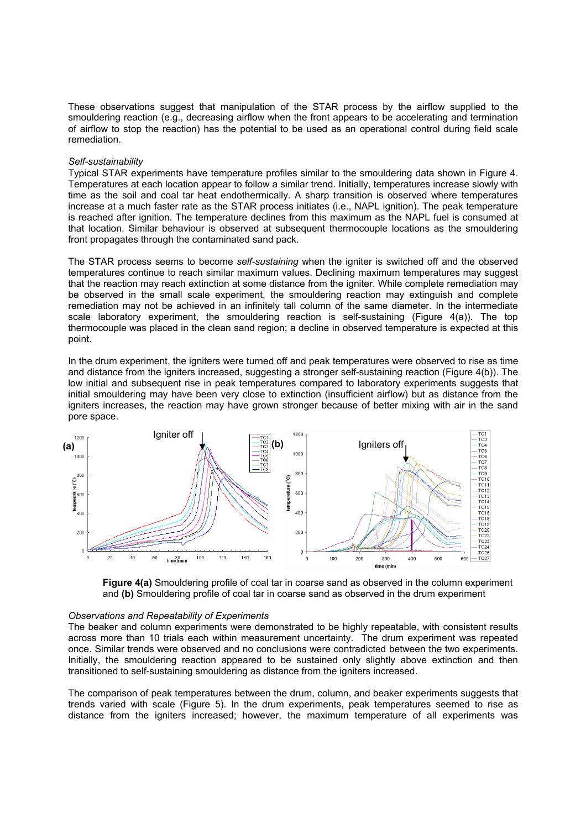These observations suggest that manipulation of the STAR process by the airflow supplied to the smouldering reaction (e.g., decreasing airflow when the front appears to be accelerating and termination of airflow to stop the reaction) has the potential to be used as an operational control during field scale remediation.

## *Self-sustainability*

Typical STAR experiments have temperature profiles similar to the smouldering data shown in Figure 4. Temperatures at each location appear to follow a similar trend. Initially, temperatures increase slowly with time as the soil and coal tar heat endothermically. A sharp transition is observed where temperatures increase at a much faster rate as the STAR process initiates (i.e., NAPL ignition). The peak temperature is reached after ignition. The temperature declines from this maximum as the NAPL fuel is consumed at that location. Similar behaviour is observed at subsequent thermocouple locations as the smouldering front propagates through the contaminated sand pack.

The STAR process seems to become *self-sustaining* when the igniter is switched off and the observed temperatures continue to reach similar maximum values. Declining maximum temperatures may suggest that the reaction may reach extinction at some distance from the igniter. While complete remediation may be observed in the small scale experiment, the smouldering reaction may extinguish and complete remediation may not be achieved in an infinitely tall column of the same diameter. In the intermediate scale laboratory experiment, the smouldering reaction is self-sustaining (Figure 4(a)). The top thermocouple was placed in the clean sand region; a decline in observed temperature is expected at this point.

In the drum experiment, the igniters were turned off and peak temperatures were observed to rise as time and distance from the igniters increased, suggesting a stronger self-sustaining reaction (Figure 4(b)). The low initial and subsequent rise in peak temperatures compared to laboratory experiments suggests that initial smouldering may have been very close to extinction (insufficient airflow) but as distance from the igniters increases, the reaction may have grown stronger because of better mixing with air in the sand pore space.





#### *Observations and Repeatability of Experiments*

The beaker and column experiments were demonstrated to be highly repeatable, with consistent results across more than 10 trials each within measurement uncertainty. The drum experiment was repeated once. Similar trends were observed and no conclusions were contradicted between the two experiments. Initially, the smouldering reaction appeared to be sustained only slightly above extinction and then transitioned to self-sustaining smouldering as distance from the igniters increased.

The comparison of peak temperatures between the drum, column, and beaker experiments suggests that trends varied with scale (Figure 5). In the drum experiments, peak temperatures seemed to rise as distance from the igniters increased; however, the maximum temperature of all experiments was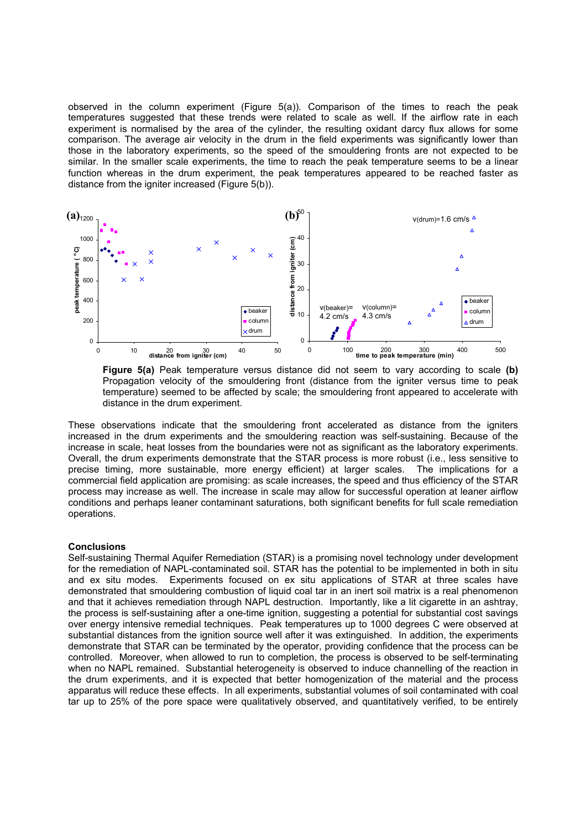observed in the column experiment (Figure  $5(a)$ ). Comparison of the times to reach the peak temperatures suggested that these trends were related to scale as well. If the airflow rate in each experiment is normalised by the area of the cylinder, the resulting oxidant darcy flux allows for some comparison. The average air velocity in the drum in the field experiments was significantly lower than those in the laboratory experiments, so the speed of the smouldering fronts are not expected to be similar. In the smaller scale experiments, the time to reach the peak temperature seems to be a linear function whereas in the drum experiment, the peak temperatures appeared to be reached faster as distance from the igniter increased (Figure 5(b)).



**Figure 5(a)** Peak temperature versus distance did not seem to vary according to scale **(b)**  Propagation velocity of the smouldering front (distance from the igniter versus time to peak temperature) seemed to be affected by scale; the smouldering front appeared to accelerate with distance in the drum experiment.

These observations indicate that the smouldering front accelerated as distance from the igniters increased in the drum experiments and the smouldering reaction was self-sustaining. Because of the increase in scale, heat losses from the boundaries were not as significant as the laboratory experiments. Overall, the drum experiments demonstrate that the STAR process is more robust (i.e., less sensitive to precise timing, more sustainable, more energy efficient) at larger scales. The implications for a commercial field application are promising: as scale increases, the speed and thus efficiency of the STAR process may increase as well. The increase in scale may allow for successful operation at leaner airflow conditions and perhaps leaner contaminant saturations, both significant benefits for full scale remediation operations.

# **Conclusions**

Self-sustaining Thermal Aquifer Remediation (STAR) is a promising novel technology under development for the remediation of NAPL-contaminated soil. STAR has the potential to be implemented in both in situ and ex situ modes. Experiments focused on ex situ applications of STAR at three scales have demonstrated that smouldering combustion of liquid coal tar in an inert soil matrix is a real phenomenon and that it achieves remediation through NAPL destruction. Importantly, like a lit cigarette in an ashtray, the process is self-sustaining after a one-time ignition, suggesting a potential for substantial cost savings over energy intensive remedial techniques. Peak temperatures up to 1000 degrees C were observed at substantial distances from the ignition source well after it was extinguished. In addition, the experiments demonstrate that STAR can be terminated by the operator, providing confidence that the process can be controlled. Moreover, when allowed to run to completion, the process is observed to be self-terminating when no NAPL remained. Substantial heterogeneity is observed to induce channelling of the reaction in the drum experiments, and it is expected that better homogenization of the material and the process apparatus will reduce these effects. In all experiments, substantial volumes of soil contaminated with coal tar up to 25% of the pore space were qualitatively observed, and quantitatively verified, to be entirely